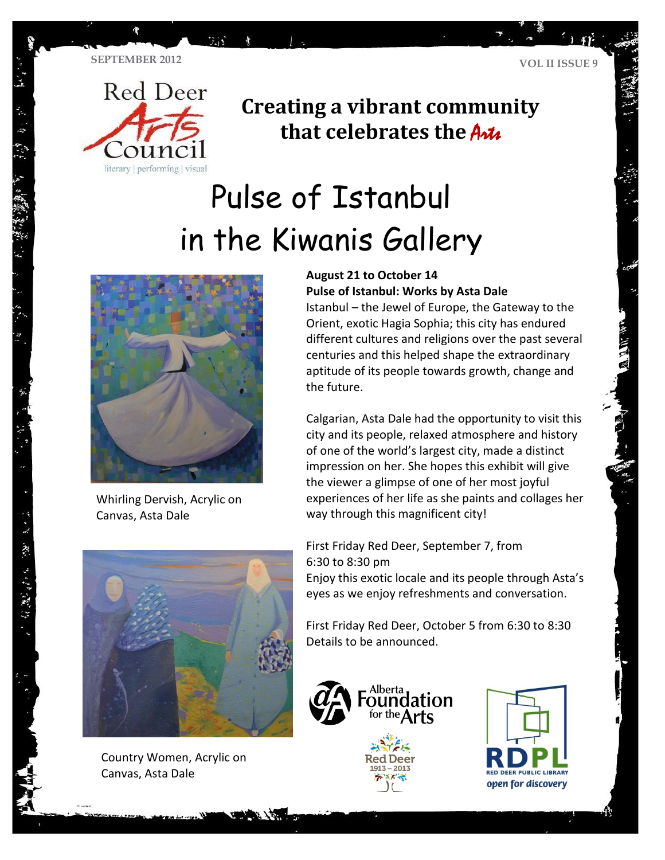**TA** 



## **Creating a vibrant community that celebrates the Artic**

# Pulse of Istanbul in the Kiwanis Gallery



Whirling Dervish, Acrylic on Canvas, Asta Dale

#### **August 21 to October 14 Pulse of Istanbul: Works by Asta Dale**

Istanbul – the Jewel of Europe, the Gateway to the Orient, exotic Hagia Sophia; this city has endured different cultures and religions over the past several centuries and this helped shape the extraordinary aptitude of its people towards growth, change and the future.

Calgarian, Asta Dale had the opportunity to visit this city and its people, relaxed atmosphere and history of one of the world's largest city, made a distinct impression on her. She hopes this exhibit will give the viewer a glimpse of one of her most joyful experiences of her life as she paints and collages her way through this magnificent city!

First Friday Red Deer, September 7, from 6:30 to 8:30 pm

Enjoy this exotic locale and its people through Asta's eyes as we enjoy refreshments and conversation.

First Friday Red Deer, October 5 from 6:30 to 8:30 Details to be announced.



Country Women, Acrylic on Canvas, Asta Dale





・ド 、 次、 リーザ 合歓 けっしゃ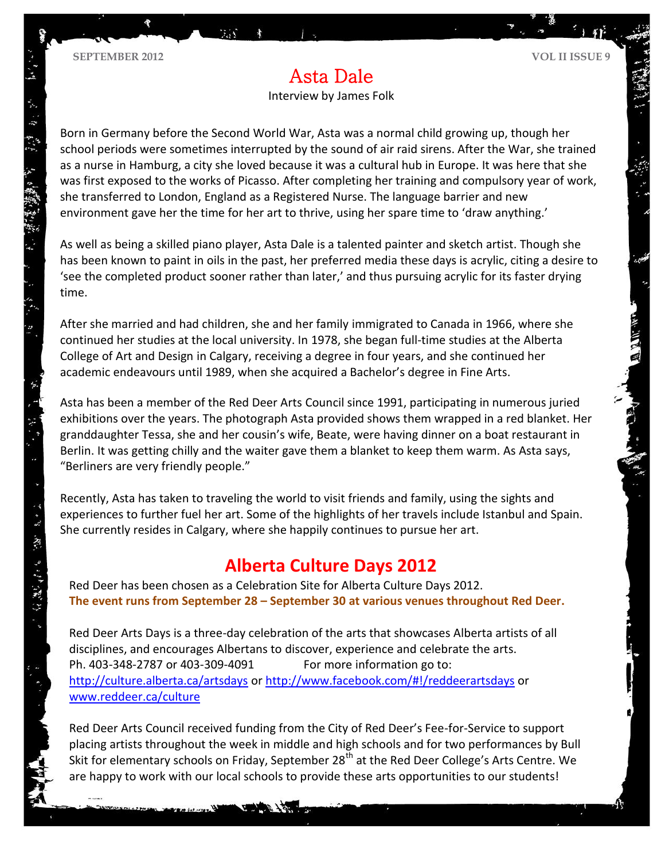Interview by James Folk

Born in Germany before the Second World War, Asta was a normal child growing up, though her school periods were sometimes interrupted by the sound of air raid sirens. After the War, she trained as a nurse in Hamburg, a city she loved because it was a cultural hub in Europe. It was here that she was first exposed to the works of Picasso. After completing her training and compulsory year of work, she transferred to London, England as a Registered Nurse. The language barrier and new environment gave her the time for her art to thrive, using her spare time to 'draw anything.'

As well as being a skilled piano player, Asta Dale is a talented painter and sketch artist. Though she has been known to paint in oils in the past, her preferred media these days is acrylic, citing a desire to 'see the completed product sooner rather than later,' and thus pursuing acrylic for its faster drying time.

After she married and had children, she and her family immigrated to Canada in 1966, where she continued her studies at the local university. In 1978, she began full-time studies at the Alberta College of Art and Design in Calgary, receiving a degree in four years, and she continued her academic endeavours until 1989, when she acquired a Bachelor's degree in Fine Arts.

Asta has been a member of the Red Deer Arts Council since 1991, participating in numerous juried exhibitions over the years. The photograph Asta provided shows them wrapped in a red blanket. Her granddaughter Tessa, she and her cousin's wife, Beate, were having dinner on a boat restaurant in Berlin. It was getting chilly and the waiter gave them a blanket to keep them warm. As Asta says, "Berliners are very friendly people."

Recently, Asta has taken to traveling the world to visit friends and family, using the sights and experiences to further fuel her art. Some of the highlights of her travels include Istanbul and Spain. She currently resides in Calgary, where she happily continues to pursue her art.

#### **Alberta Culture Days 2012**

Red Deer has been chosen as a Celebration Site for Alberta Culture Days 2012. **The event runs from September 28 – September 30 at various venues throughout Red Deer.**

Red Deer Arts Days is a three-day celebration of the arts that showcases Alberta artists of all disciplines, and encourages Albertans to discover, experience and celebrate the arts. Ph. 403-348-2787 or 403-309-4091 For more information go to: <http://culture.alberta.ca/artsdays> or<http://www.facebook.com/#!/reddeerartsdays> or [www.reddeer.ca/culture](http://www.reddeer.ca/culture)

Red Deer Arts Council received funding from the City of Red Deer's Fee-for-Service to support placing artists throughout the week in middle and high schools and for two performances by Bull Skit for elementary schools on Friday, September 28<sup>th</sup> at the Red Deer College's Arts Centre. We are happy to work with our local schools to provide these arts opportunities to our students!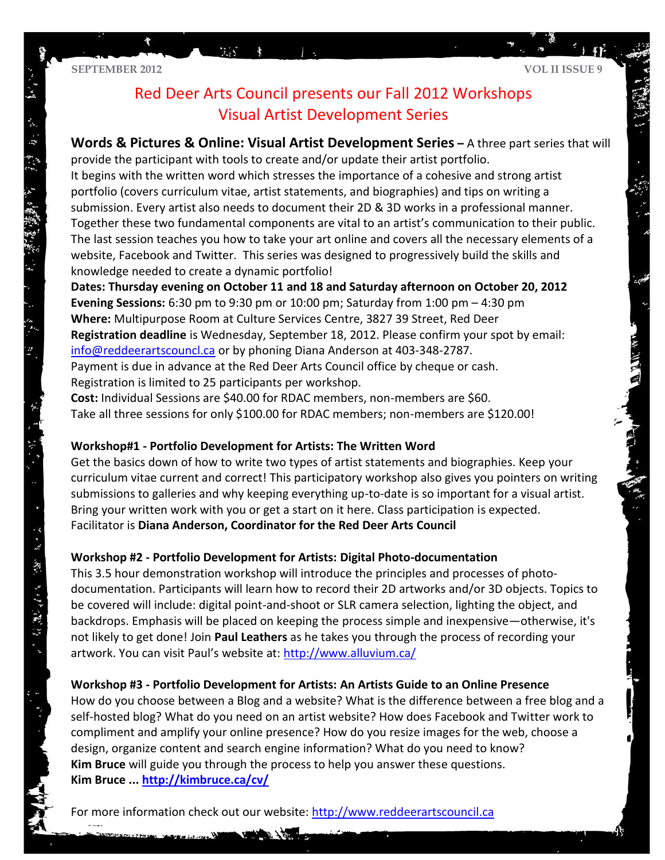寶

### Red Deer Arts Council presents our Fall 2012 Workshops Visual Artist Development Series

**Words & Pictures & Online: Visual Artist Development Series –** A three part series that will provide the participant with tools to create and/or update their artist portfolio.

It begins with the written word which stresses the importance of a cohesive and strong artist portfolio (covers curriculum vitae, artist statements, and biographies) and tips on writing a submission. Every artist also needs to document their 2D & 3D works in a professional manner. Together these two fundamental components are vital to an artist's communication to their public. The last session teaches you how to take your art online and covers all the necessary elements of a website, Facebook and Twitter. This series was designed to progressively build the skills and knowledge needed to create a dynamic portfolio!

**Dates: Thursday evening on October 11 and 18 and Saturday afternoon on October 20, 2012 Evening Sessions:** 6:30 pm to 9:30 pm or 10:00 pm; Saturday from 1:00 pm – 4:30 pm **Where:** Multipurpose Room at Culture Services Centre, 3827 39 Street, Red Deer **Registration deadline** is Wednesday, September 18, 2012. Please confirm your spot by email: [info@reddeerartscouncl.ca](mailto:info@reddeerartscouncl.ca) or by phoning Diana Anderson at 403-348-2787. Payment is due in advance at the Red Deer Arts Council office by cheque or cash.

Registration is limited to 25 participants per workshop.

**Cost:** Individual Sessions are \$40.00 for RDAC members, non-members are \$60. Take all three sessions for only \$100.00 for RDAC members; non-members are \$120.00!

#### **Workshop#1 - Portfolio Development for Artists: The Written Word**

Get the basics down of how to write two types of artist statements and biographies. Keep your curriculum vitae current and correct! This participatory workshop also gives you pointers on writing submissions to galleries and why keeping everything up-to-date is so important for a visual artist. Bring your written work with you or get a start on it here. Class participation is expected. Facilitator is **Diana Anderson, Coordinator for the Red Deer Arts Council**

#### **Workshop #2 - Portfolio Development for Artists: Digital Photo-documentation**

This 3.5 hour demonstration workshop will introduce the principles and processes of photodocumentation. Participants will learn how to record their 2D artworks and/or 3D objects. Topics to be covered will include: digital point-and-shoot or SLR camera selection, lighting the object, and backdrops. Emphasis will be placed on keeping the process simple and inexpensive—otherwise, it's not likely to get done! Join **Paul Leathers** as he takes you through the process of recording your artwork. You can visit Paul's website at: <http://www.alluvium.ca/>

#### **Workshop #3 - Portfolio Development for Artists: An Artists Guide to an Online Presence**

How do you choose between a Blog and a website? What is the difference between a free blog and a self-hosted blog? What do you need on an artist website? How does Facebook and Twitter work to compliment and amplify your online presence? How do you resize images for the web, choose a design, organize content and search engine information? What do you need to know? **Kim Bruce** will guide you through the process to help you answer these questions. **Kim Bruce ... <http://kimbruce.ca/cv/>**

For more information check out our website: [http://www.reddeerartscouncil.ca](http://www.reddeerartscouncil.ca/)

The Company